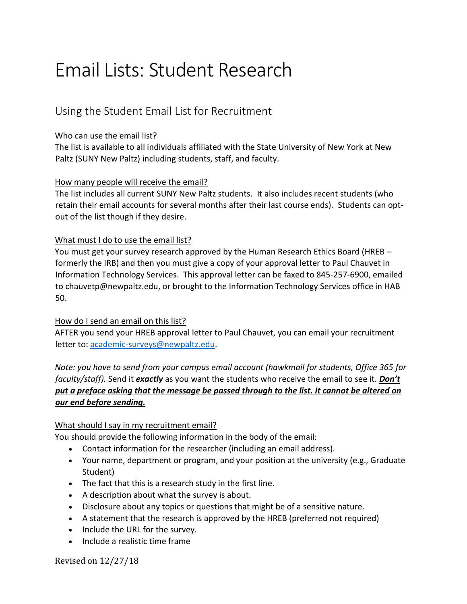# Email Lists: Student Research

## Using the Student Email List for Recruitment

## Who can use the email list?

The list is available to all individuals affiliated with the State University of New York at New Paltz (SUNY New Paltz) including students, staff, and faculty.

## How many people will receive the email?

The list includes all current SUNY New Paltz students. It also includes recent students (who retain their email accounts for several months after their last course ends). Students can optout of the list though if they desire.

## What must I do to use the email list?

You must get your survey research approved by the Human Research Ethics Board (HREB – formerly the IRB) and then you must give a copy of your approval letter to Paul Chauvet in Information Technology Services. This approval letter can be faxed to 845-257-6900, emailed to chauvetp@newpaltz.edu, or brought to the Information Technology Services office in HAB 50.

## How do I send an email on this list?

AFTER you send your HREB approval letter to Paul Chauvet, you can email your recruitment letter to: [academic-surveys@newpaltz.edu.](mailto:academic-surveys@newpaltz.edu)

*Note: you have to send from your campus email account (hawkmail for students, Office 365 for faculty/staff).* Send it *exactly* as you want the students who receive the email to see it. *Don't put a preface asking that the message be passed through to the list. It cannot be altered on our end before sending.*

## What should I say in my recruitment email?

You should provide the following information in the body of the email:

- Contact information for the researcher (including an email address).
- Your name, department or program, and your position at the university (e.g., Graduate Student)
- The fact that this is a research study in the first line.
- A description about what the survey is about.
- Disclosure about any topics or questions that might be of a sensitive nature.
- A statement that the research is approved by the HREB (preferred not required)
- Include the URL for the survey.
- Include a realistic time frame

Revised on 12/27/18